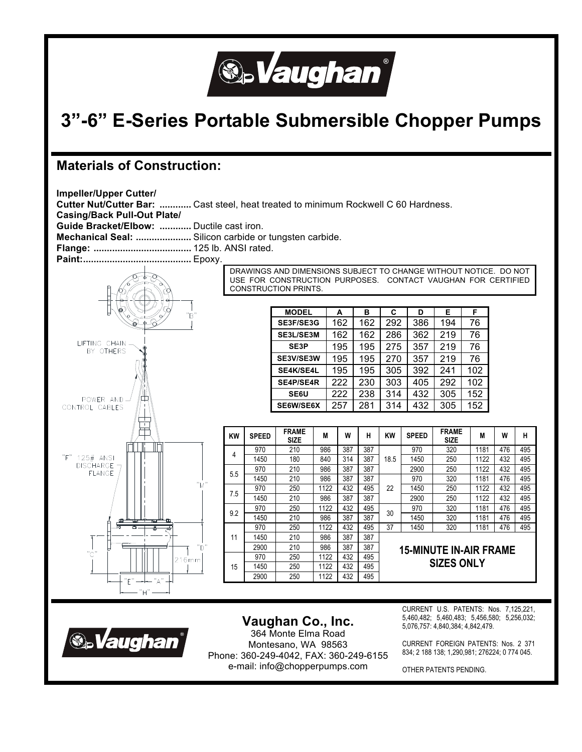

# **3"-6" E-Series Portable Submersible Chopper Pumps**

## **Materials of Construction:**





# **Vaughan Co., Inc.**

364 Monte Elma Road Montesano, WA 98563 Phone: 360-249-4042, FAX: 360-249-6155 e-mail: info@chopperpumps.com

CURRENT U.S. PATENTS: Nos. 7,125,221, 5,460,482; 5,460,483; 5,456,580; 5,256,032; 5,076,757: 4,840,384; 4,842,479.

CURRENT FOREIGN PATENTS: Nos. 2 371 834; 2 188 138; 1,290,981; 276224; 0 774 045.

OTHER PATENTS PENDING.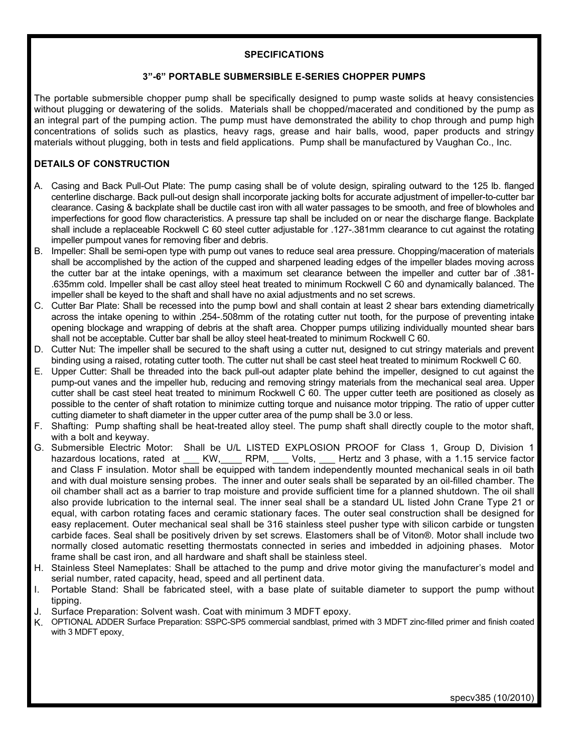### **SPECIFICATIONS**

### **3"-6" PORTABLE SUBMERSIBLE E-SERIES CHOPPER PUMPS**

The portable submersible chopper pump shall be specifically designed to pump waste solids at heavy consistencies without plugging or dewatering of the solids. Materials shall be chopped/macerated and conditioned by the pump as an integral part of the pumping action. The pump must have demonstrated the ability to chop through and pump high concentrations of solids such as plastics, heavy rags, grease and hair balls, wood, paper products and stringy materials without plugging, both in tests and field applications. Pump shall be manufactured by Vaughan Co., Inc.

## **DETAILS OF CONSTRUCTION**

- A. Casing and Back Pull-Out Plate: The pump casing shall be of volute design, spiraling outward to the 125 lb. flanged centerline discharge. Back pull-out design shall incorporate jacking bolts for accurate adjustment of impeller-to-cutter bar clearance. Casing & backplate shall be ductile cast iron with all water passages to be smooth, and free of blowholes and imperfections for good flow characteristics. A pressure tap shall be included on or near the discharge flange. Backplate shall include a replaceable Rockwell C 60 steel cutter adjustable for .127-.381mm clearance to cut against the rotating impeller pumpout vanes for removing fiber and debris.
- B. Impeller: Shall be semi-open type with pump out vanes to reduce seal area pressure. Chopping/maceration of materials shall be accomplished by the action of the cupped and sharpened leading edges of the impeller blades moving across the cutter bar at the intake openings, with a maximum set clearance between the impeller and cutter bar of .381- .635mm cold. Impeller shall be cast alloy steel heat treated to minimum Rockwell C 60 and dynamically balanced. The impeller shall be keyed to the shaft and shall have no axial adjustments and no set screws.
- C. Cutter Bar Plate: Shall be recessed into the pump bowl and shall contain at least 2 shear bars extending diametrically across the intake opening to within .254-.508mm of the rotating cutter nut tooth, for the purpose of preventing intake opening blockage and wrapping of debris at the shaft area. Chopper pumps utilizing individually mounted shear bars shall not be acceptable. Cutter bar shall be alloy steel heat-treated to minimum Rockwell C 60.
- D. Cutter Nut: The impeller shall be secured to the shaft using a cutter nut, designed to cut stringy materials and prevent binding using a raised, rotating cutter tooth. The cutter nut shall be cast steel heat treated to minimum Rockwell C 60.
- E. Upper Cutter: Shall be threaded into the back pull-out adapter plate behind the impeller, designed to cut against the pump-out vanes and the impeller hub, reducing and removing stringy materials from the mechanical seal area. Upper cutter shall be cast steel heat treated to minimum Rockwell C 60. The upper cutter teeth are positioned as closely as possible to the center of shaft rotation to minimize cutting torque and nuisance motor tripping. The ratio of upper cutter cutting diameter to shaft diameter in the upper cutter area of the pump shall be 3.0 or less.
- F. Shafting: Pump shafting shall be heat-treated alloy steel. The pump shaft shall directly couple to the motor shaft, with a bolt and keyway.
- G. Submersible Electric Motor: Shall be U/L LISTED EXPLOSION PROOF for Class 1, Group D, Division 1 hazardous locations, rated at \_\_\_ KW, \_\_\_\_ RPM, \_\_\_ Volts, \_\_\_ Hertz and 3 phase, with a 1.15 service factor and Class F insulation. Motor shall be equipped with tandem independently mounted mechanical seals in oil bath and with dual moisture sensing probes. The inner and outer seals shall be separated by an oil-filled chamber. The oil chamber shall act as a barrier to trap moisture and provide sufficient time for a planned shutdown. The oil shall also provide lubrication to the internal seal. The inner seal shall be a standard UL listed John Crane Type 21 or equal, with carbon rotating faces and ceramic stationary faces. The outer seal construction shall be designed for easy replacement. Outer mechanical seal shall be 316 stainless steel pusher type with silicon carbide or tungsten carbide faces. Seal shall be positively driven by set screws. Elastomers shall be of Viton®. Motor shall include two normally closed automatic resetting thermostats connected in series and imbedded in adjoining phases. Motor frame shall be cast iron, and all hardware and shaft shall be stainless steel.
- H. Stainless Steel Nameplates: Shall be attached to the pump and drive motor giving the manufacturer's model and serial number, rated capacity, head, speed and all pertinent data.
- I. Portable Stand: Shall be fabricated steel, with a base plate of suitable diameter to support the pump without tipping.
- J. Surface Preparation: Solvent wash. Coat with minimum 3 MDFT epoxy.
- K. OPTIONAL ADDER Surface Preparation: SSPC-SP5 commercial sandblast, primed with 3 MDFT zinc-filled primer and finish coated with 3 MDFT epoxy.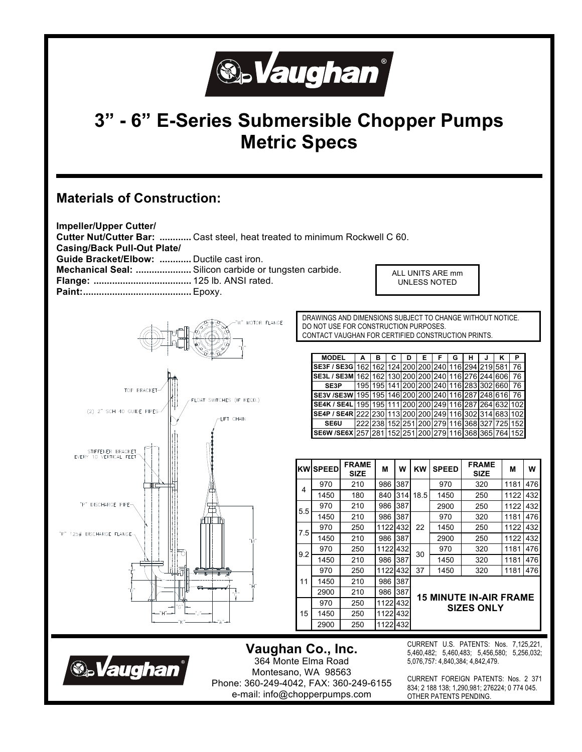

# **3" - 6" E-Series Submersible Chopper Pumps Metric Specs**

# **Materials of Construction:**





**Vaughan Co., Inc.**  364 Monte Elma Road Montesano, WA 98563 Phone: 360-249-4042, FAX: 360-249-6155 e-mail: info@chopperpumps.com

CURRENT U.S. PATENTS: Nos. 7,125,221, 5,460,482; 5,460,483; 5,456,580; 5,256,032; 5,076,757: 4,840,384; 4,842,479.

CURRENT FOREIGN PATENTS: Nos. 2 371 834; 2 188 138; 1,290,981; 276224; 0 774 045. OTHER PATENTS PENDING.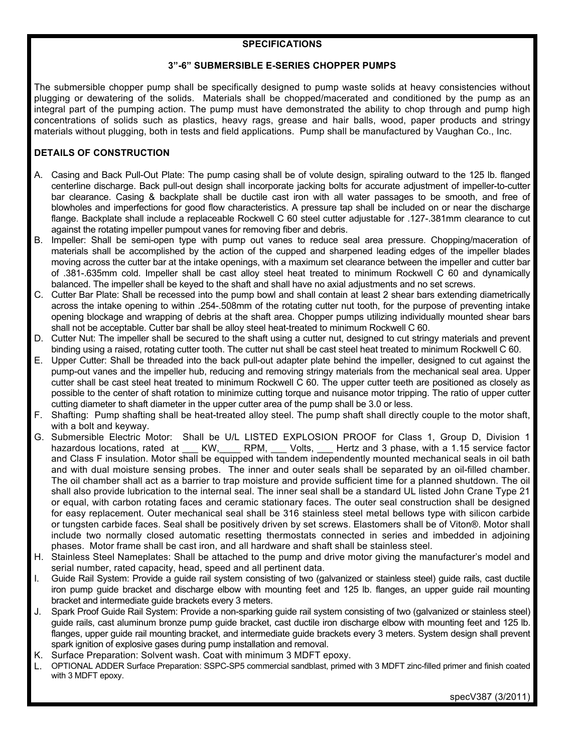### **SPECIFICATIONS**

#### **3"-6" SUBMERSIBLE E-SERIES CHOPPER PUMPS**

The submersible chopper pump shall be specifically designed to pump waste solids at heavy consistencies without plugging or dewatering of the solids. Materials shall be chopped/macerated and conditioned by the pump as an integral part of the pumping action. The pump must have demonstrated the ability to chop through and pump high concentrations of solids such as plastics, heavy rags, grease and hair balls, wood, paper products and stringy materials without plugging, both in tests and field applications. Pump shall be manufactured by Vaughan Co., Inc.

## **DETAILS OF CONSTRUCTION**

- A. Casing and Back Pull-Out Plate: The pump casing shall be of volute design, spiraling outward to the 125 lb. flanged centerline discharge. Back pull-out design shall incorporate jacking bolts for accurate adjustment of impeller-to-cutter bar clearance. Casing & backplate shall be ductile cast iron with all water passages to be smooth, and free of blowholes and imperfections for good flow characteristics. A pressure tap shall be included on or near the discharge flange. Backplate shall include a replaceable Rockwell C 60 steel cutter adjustable for .127-.381mm clearance to cut against the rotating impeller pumpout vanes for removing fiber and debris.
- B. Impeller: Shall be semi-open type with pump out vanes to reduce seal area pressure. Chopping/maceration of materials shall be accomplished by the action of the cupped and sharpened leading edges of the impeller blades moving across the cutter bar at the intake openings, with a maximum set clearance between the impeller and cutter bar of .381-.635mm cold. Impeller shall be cast alloy steel heat treated to minimum Rockwell C 60 and dynamically balanced. The impeller shall be keyed to the shaft and shall have no axial adjustments and no set screws.
- C. Cutter Bar Plate: Shall be recessed into the pump bowl and shall contain at least 2 shear bars extending diametrically across the intake opening to within .254-.508mm of the rotating cutter nut tooth, for the purpose of preventing intake opening blockage and wrapping of debris at the shaft area. Chopper pumps utilizing individually mounted shear bars shall not be acceptable. Cutter bar shall be alloy steel heat-treated to minimum Rockwell C 60.
- D. Cutter Nut: The impeller shall be secured to the shaft using a cutter nut, designed to cut stringy materials and prevent binding using a raised, rotating cutter tooth. The cutter nut shall be cast steel heat treated to minimum Rockwell C 60.
- E. Upper Cutter: Shall be threaded into the back pull-out adapter plate behind the impeller, designed to cut against the pump-out vanes and the impeller hub, reducing and removing stringy materials from the mechanical seal area. Upper cutter shall be cast steel heat treated to minimum Rockwell C 60. The upper cutter teeth are positioned as closely as possible to the center of shaft rotation to minimize cutting torque and nuisance motor tripping. The ratio of upper cutter cutting diameter to shaft diameter in the upper cutter area of the pump shall be 3.0 or less.
- F. Shafting: Pump shafting shall be heat-treated alloy steel. The pump shaft shall directly couple to the motor shaft, with a bolt and keyway.
- G. Submersible Electric Motor: Shall be U/L LISTED EXPLOSION PROOF for Class 1, Group D, Division 1 hazardous locations, rated at \_\_\_ KW, \_\_\_\_ RPM, \_\_\_ Volts, \_\_\_ Hertz and 3 phase, with a 1.15 service factor and Class F insulation. Motor shall be equipped with tandem independently mounted mechanical seals in oil bath and with dual moisture sensing probes. The inner and outer seals shall be separated by an oil-filled chamber. The oil chamber shall act as a barrier to trap moisture and provide sufficient time for a planned shutdown. The oil shall also provide lubrication to the internal seal. The inner seal shall be a standard UL listed John Crane Type 21 or equal, with carbon rotating faces and ceramic stationary faces. The outer seal construction shall be designed for easy replacement. Outer mechanical seal shall be 316 stainless steel metal bellows type with silicon carbide or tungsten carbide faces. Seal shall be positively driven by set screws. Elastomers shall be of Viton®. Motor shall include two normally closed automatic resetting thermostats connected in series and imbedded in adjoining phases. Motor frame shall be cast iron, and all hardware and shaft shall be stainless steel.
- H. Stainless Steel Nameplates: Shall be attached to the pump and drive motor giving the manufacturer's model and serial number, rated capacity, head, speed and all pertinent data.
- I. Guide Rail System: Provide a guide rail system consisting of two (galvanized or stainless steel) guide rails, cast ductile iron pump guide bracket and discharge elbow with mounting feet and 125 lb. flanges, an upper guide rail mounting bracket and intermediate guide brackets every 3 meters.
- J. Spark Proof Guide Rail System: Provide a non-sparking guide rail system consisting of two (galvanized or stainless steel) guide rails, cast aluminum bronze pump guide bracket, cast ductile iron discharge elbow with mounting feet and 125 lb. flanges, upper guide rail mounting bracket, and intermediate guide brackets every 3 meters. System design shall prevent spark ignition of explosive gases during pump installation and removal.
- K. Surface Preparation: Solvent wash. Coat with minimum 3 MDFT epoxy.
- L. OPTIONAL ADDER Surface Preparation: SSPC-SP5 commercial sandblast, primed with 3 MDFT zinc-filled primer and finish coated with 3 MDFT epoxy.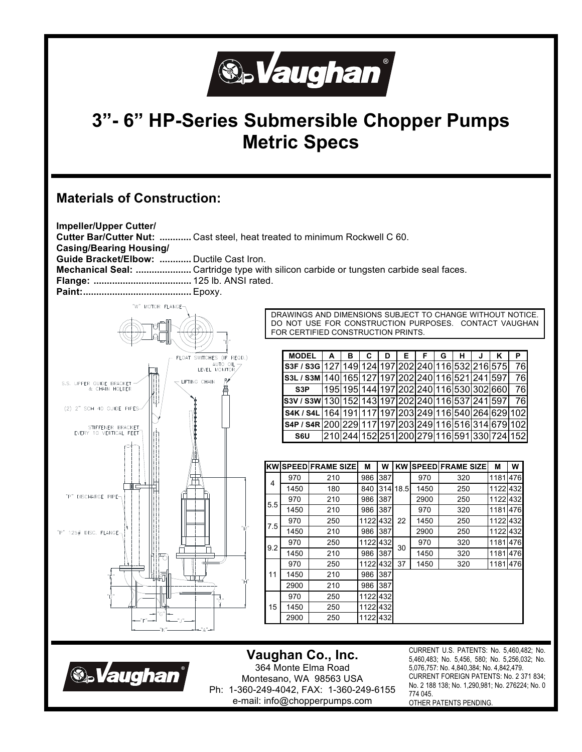

# **3"- 6" HP-Series Submersible Chopper Pumps Metric Specs**

# **Materials of Construction:**

**S.Vaughan** 



## **Vaughan Co., Inc.**  364 Monte Elma Road Montesano, WA 98563 USA Ph: 1-360-249-4042, FAX: 1-360-249-6155 e-mail: info@chopperpumps.com

CURRENT U.S. PATENTS: No. 5,460,482; No. 5,460,483; No. 5,456, 580; No. 5,256,032; No. 5,076,757: No. 4,840,384; No. 4,842,479. CURRENT FOREIGN PATENTS: No. 2 371 834; No. 2 188 138; No. 1,290,981; No. 276224; No. 0 774 045. OTHER PATENTS PENDING.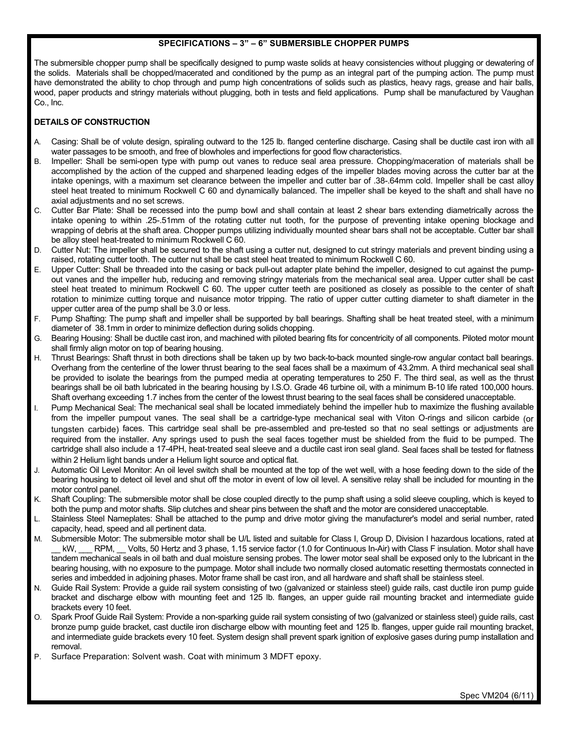#### **SPECIFICATIONS – 3" – 6" SUBMERSIBLE CHOPPER PUMPS**

The submersible chopper pump shall be specifically designed to pump waste solids at heavy consistencies without plugging or dewatering of the solids. Materials shall be chopped/macerated and conditioned by the pump as an integral part of the pumping action. The pump must have demonstrated the ability to chop through and pump high concentrations of solids such as plastics, heavy rags, grease and hair balls, wood, paper products and stringy materials without plugging, both in tests and field applications. Pump shall be manufactured by Vaughan Co., Inc.

### **DETAILS OF CONSTRUCTION**

- A. Casing: Shall be of volute design, spiraling outward to the 125 lb. flanged centerline discharge. Casing shall be ductile cast iron with all water passages to be smooth, and free of blowholes and imperfections for good flow characteristics.
- B. Impeller: Shall be semi-open type with pump out vanes to reduce seal area pressure. Chopping/maceration of materials shall be accomplished by the action of the cupped and sharpened leading edges of the impeller blades moving across the cutter bar at the intake openings, with a maximum set clearance between the impeller and cutter bar of .38-.64mm cold. Impeller shall be cast alloy steel heat treated to minimum Rockwell C 60 and dynamically balanced. The impeller shall be keyed to the shaft and shall have no axial adjustments and no set screws.
- C. Cutter Bar Plate: Shall be recessed into the pump bowl and shall contain at least 2 shear bars extending diametrically across the intake opening to within .25-.51mm of the rotating cutter nut tooth, for the purpose of preventing intake opening blockage and wrapping of debris at the shaft area. Chopper pumps utilizing individually mounted shear bars shall not be acceptable. Cutter bar shall be alloy steel heat-treated to minimum Rockwell C 60.
- D. Cutter Nut: The impeller shall be secured to the shaft using a cutter nut, designed to cut stringy materials and prevent binding using a raised, rotating cutter tooth. The cutter nut shall be cast steel heat treated to minimum Rockwell C 60.
- E. Upper Cutter: Shall be threaded into the casing or back pull-out adapter plate behind the impeller, designed to cut against the pumpout vanes and the impeller hub, reducing and removing stringy materials from the mechanical seal area. Upper cutter shall be cast steel heat treated to minimum Rockwell C 60. The upper cutter teeth are positioned as closely as possible to the center of shaft rotation to minimize cutting torque and nuisance motor tripping. The ratio of upper cutter cutting diameter to shaft diameter in the upper cutter area of the pump shall be 3.0 or less.
- F. Pump Shafting: The pump shaft and impeller shall be supported by ball bearings. Shafting shall be heat treated steel, with a minimum diameter of 38.1mm in order to minimize deflection during solids chopping.
- G. Bearing Housing: Shall be ductile cast iron, and machined with piloted bearing fits for concentricity of all components. Piloted motor mount shall firmly align motor on top of bearing housing.
- H. Thrust Bearings: Shaft thrust in both directions shall be taken up by two back-to-back mounted single-row angular contact ball bearings. Overhang from the centerline of the lower thrust bearing to the seal faces shall be a maximum of 43.2mm. A third mechanical seal shall be provided to isolate the bearings from the pumped media at operating temperatures to 250 F. The third seal, as well as the thrust bearings shall be oil bath lubricated in the bearing housing by I.S.O. Grade 46 turbine oil, with a minimum B-10 life rated 100,000 hours. Shaft overhang exceeding 1.7 inches from the center of the lowest thrust bearing to the seal faces shall be considered unacceptable.
- Pump Mechanical Seal: The mechanical seal shall be located immediately behind the impeller hub to maximize the flushing available from the impeller pumpout vanes. The seal shall be a cartridge-type mechanical seal with Viton O-rings and silicon carbide (or tungsten carbide) faces. This cartridge seal shall be pre-assembled and pre-tested so that no seal settings or adjustments are required from the installer. Any springs used to push the seal faces together must be shielded from the fluid to be pumped. The cartridge shall also include a 17-4PH, heat-treated seal sleeve and a ductile cast iron seal gland. Seal faces shall be tested for flatness within 2 Helium light bands under a Helium light source and optical flat.
- J. Automatic Oil Level Monitor: An oil level switch shall be mounted at the top of the wet well, with a hose feeding down to the side of the bearing housing to detect oil level and shut off the motor in event of low oil level. A sensitive relay shall be included for mounting in the motor control panel.
- K. Shaft Coupling: The submersible motor shall be close coupled directly to the pump shaft using a solid sleeve coupling, which is keyed to both the pump and motor shafts. Slip clutches and shear pins between the shaft and the motor are considered unacceptable.
- L. Stainless Steel Nameplates: Shall be attached to the pump and drive motor giving the manufacturer's model and serial number, rated capacity, head, speed and all pertinent data.
- M. Submersible Motor: The submersible motor shall be U/L listed and suitable for Class I, Group D, Division I hazardous locations, rated at kW, RPM, Volts, 50 Hertz and 3 phase, 1.15 service factor (1.0 for Continuous In-Air) with Class F insulation. Motor shall have tandem mechanical seals in oil bath and dual moisture sensing probes. The lower motor seal shall be exposed only to the lubricant in the bearing housing, with no exposure to the pumpage. Motor shall include two normally closed automatic resetting thermostats connected in series and imbedded in adjoining phases. Motor frame shall be cast iron, and all hardware and shaft shall be stainless steel.
- N. Guide Rail System: Provide a guide rail system consisting of two (galvanized or stainless steel) guide rails, cast ductile iron pump guide bracket and discharge elbow with mounting feet and 125 lb. flanges, an upper guide rail mounting bracket and intermediate guide brackets every 10 feet.
- O. Spark Proof Guide Rail System: Provide a non-sparking guide rail system consisting of two (galvanized or stainless steel) guide rails, cast bronze pump guide bracket, cast ductile iron discharge elbow with mounting feet and 125 lb. flanges, upper guide rail mounting bracket, and intermediate guide brackets every 10 feet. System design shall prevent spark ignition of explosive gases during pump installation and removal.

P. Surface Preparation: Solvent wash. Coat with minimum 3 MDFT epoxy.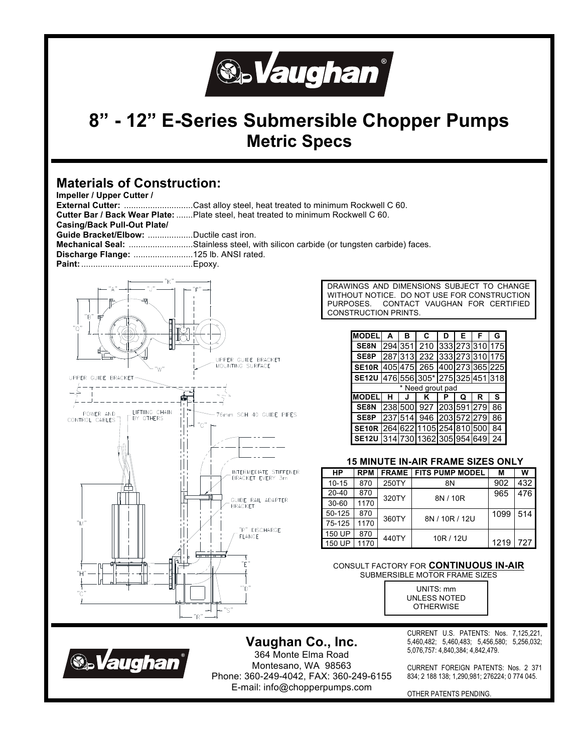

# **8" - 12" E-Series Submersible Chopper Pumps Metric Specs**

## **Materials of Construction:**

| <u>Malthais VI VUIISUUVUUI.</u><br>Impeller / Upper Cutter / |                                                                                     |           |                   |              |                                             |      |     |
|--------------------------------------------------------------|-------------------------------------------------------------------------------------|-----------|-------------------|--------------|---------------------------------------------|------|-----|
|                                                              | External Cutter: Cast alloy steel, heat treated to minimum Rockwell C 60.           |           |                   |              |                                             |      |     |
|                                                              | Cutter Bar / Back Wear Plate:  Plate steel, heat treated to minimum Rockwell C 60.  |           |                   |              |                                             |      |     |
| <b>Casing/Back Pull-Out Plate/</b>                           |                                                                                     |           |                   |              |                                             |      |     |
| Guide Bracket/Elbow: Ductile cast iron.                      |                                                                                     |           |                   |              |                                             |      |     |
|                                                              | Mechanical Seal: Stainless steel, with silicon carbide (or tungsten carbide) faces. |           |                   |              |                                             |      |     |
| Discharge Flange: 125 lb. ANSI rated.                        |                                                                                     |           |                   |              |                                             |      |     |
|                                                              |                                                                                     |           |                   |              |                                             |      |     |
|                                                              |                                                                                     |           |                   |              |                                             |      |     |
|                                                              |                                                                                     |           |                   |              | DRAWINGS AND DIMENSIONS SUBJECT TO CHANGE   |      |     |
|                                                              |                                                                                     |           |                   |              | WITHOUT NOTICE. DO NOT USE FOR CONSTRUCTION |      |     |
|                                                              | PURPOSES.<br>CONTACT VAUGHAN FOR CERTIFIED                                          |           |                   |              |                                             |      |     |
| "B"                                                          | CONSTRUCTION PRINTS.                                                                |           |                   |              |                                             |      |     |
| "0                                                           |                                                                                     |           |                   |              |                                             |      |     |
|                                                              |                                                                                     |           | <b>MODELI</b>     | A<br>в       | C<br>Е<br>F<br>D                            | G    |     |
|                                                              |                                                                                     |           | SE8N              | 294 351      | 333 273 310 175<br>210                      |      |     |
|                                                              | UPPER GUIDE BRACKET                                                                 |           | SE8P              |              | 287 313  232  333 273 310 175               |      |     |
|                                                              | MOUNTING SURFACE                                                                    |           |                   |              | SE10R 405 475 265 400 273 365 225           |      |     |
| UPPER GUIDE BRACKET-                                         |                                                                                     |           |                   |              | SE12U 476 556 305* 275 325 451 318          |      |     |
|                                                              |                                                                                     |           |                   |              | * Need grout pad                            |      |     |
|                                                              |                                                                                     |           | <b>MODEL</b>      | н<br>J       | K<br>P<br>Q<br>R                            | s    |     |
|                                                              |                                                                                     |           | SE8N              | 238 500      | 927 203 591 279                             | 86   |     |
| LIFTIING CHAIN<br>POWER AND<br>BY OTHERS<br>CONTROL CABLES   | 76mm SCH 40 GUIDE PIPES                                                             |           | SE8P              |              | 237 514 946 203 572 279                     | 86   |     |
|                                                              | $"$ $\mathrm{C}$ $"$                                                                |           | SE <sub>10R</sub> |              | 264 622 1105 254 810 500                    | 84   |     |
|                                                              |                                                                                     |           |                   |              | SE12U 314 730 1362 305 954 649              | 24   |     |
|                                                              |                                                                                     |           |                   |              |                                             |      |     |
|                                                              |                                                                                     |           |                   |              | <b>15 MINUTE IN-AIR FRAME SIZES ONLY</b>    |      |     |
|                                                              | INTERMEDIATE STIFFENER                                                              | <b>HP</b> | <b>RPM</b>        | <b>FRAME</b> | <b>FITS PUMP MODEL</b>                      | м    | w   |
|                                                              | BRACKET EVERY 3m                                                                    | $10 - 15$ | 870               | 250TY        | 8N                                          | 902  | 432 |
|                                                              |                                                                                     | 20-40     | 870               |              |                                             | 965  | 476 |
|                                                              | GUIDE RAIL ADAPTER                                                                  | 30-60     | 1170              | 320TY        | 8N / 10R                                    |      |     |
|                                                              | <b>BRACKET</b>                                                                      | 50-125    | 870               |              |                                             | 1099 | 514 |
| "M"                                                          |                                                                                     | 75-125    | 1170              | 360TY        | 8N / 10R / 12U                              |      |     |
|                                                              | "P" DISCHARGE                                                                       | 150 UP    | 870               |              |                                             |      |     |
|                                                              | FLANGE                                                                              | 150 UP    | 1170              | 440TY        | 10R / 12U                                   | 1219 | 727 |
|                                                              |                                                                                     |           |                   |              |                                             |      |     |
|                                                              | "F                                                                                  |           |                   |              | CONSULT FACTORY FOR CONTINUOUS IN-AIR       |      |     |
|                                                              |                                                                                     |           |                   |              | SUBMERSIBLE MOTOR FRAME SIZES               |      |     |
|                                                              |                                                                                     |           |                   |              |                                             |      |     |
| "C'                                                          | "D"                                                                                 |           |                   |              | UNITS: mm                                   |      |     |
|                                                              |                                                                                     |           |                   |              | UNLESS NOTED<br><b>OTHERWISE</b>            |      |     |
|                                                              | — "S"<br>"R"                                                                        |           |                   |              |                                             |      |     |
|                                                              |                                                                                     |           |                   |              |                                             |      |     |



**Vaughan Co., Inc.**  364 Monte Elma Road Montesano, WA 98563 Phone: 360-249-4042, FAX: 360-249-6155 E-mail: info@chopperpumps.com

CURRENT U.S. PATENTS: Nos. 7,125,221, 5,460,482; 5,460,483; 5,456,580; 5,256,032; 5,076,757: 4,840,384; 4,842,479.

CURRENT FOREIGN PATENTS: Nos. 2 371 834; 2 188 138; 1,290,981; 276224; 0 774 045.

OTHER PATENTS PENDING.